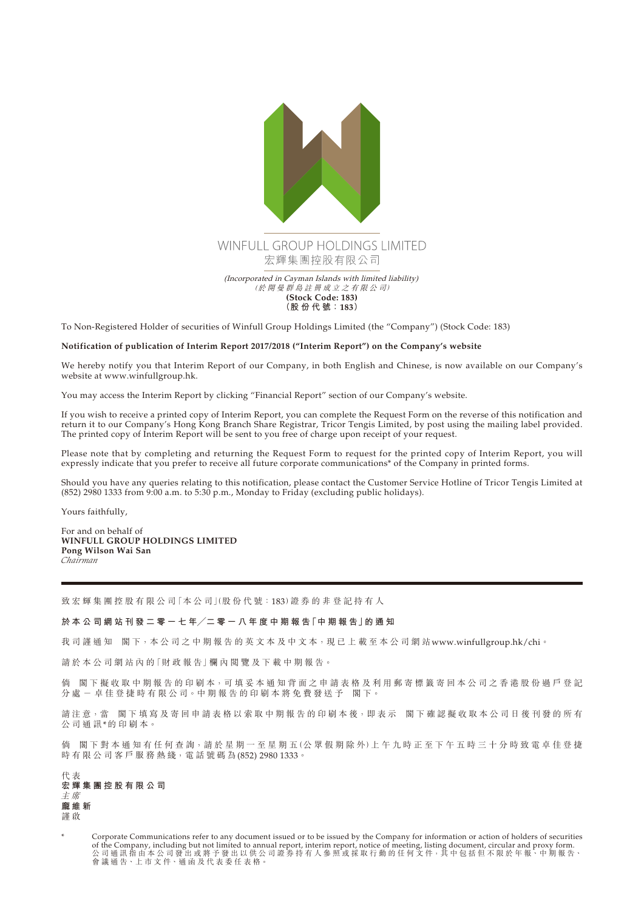

To Non-Registered Holder of securities of Winfull Group Holdings Limited (the "Company") (Stock Code: 183)

## **Notification of publication of Interim Report 2017/2018 ("Interim Report") on the Company's website**

We hereby notify you that Interim Report of our Company, in both English and Chinese, is now available on our Company's website at www.winfullgroup.hk.

You may access the Interim Report by clicking "Financial Report" section of our Company's website.

If you wish to receive a printed copy of Interim Report, you can complete the Request Form on the reverse of this notification and return it to our Company's Hong Kong Branch Share Registrar, Tricor Tengis Limited, by post using the mailing label provided. The printed copy of Interim Report will be sent to you free of charge upon receipt of your request.

Please note that by completing and returning the Request Form to request for the printed copy of Interim Report, you will expressly indicate that you prefer to receive all future corporate communications\* of the Company in printed forms.

Should you have any queries relating to this notification, please contact the Customer Service Hotline of Tricor Tengis Limited at (852) 2980 1333 from 9:00 a.m. to 5:30 p.m., Monday to Friday (excluding public holidays).

Yours faithfully,

For and on behalf of **WINFULL GROUP HOLDINGS LIMITED Pong Wilson Wai San** *Chairman*

致 宏 輝 集 團 控 股 有 限 公 司 「本 公 司 |(股 份 代 號 : 183) 證 券 的 非 登 記 持 有 人

## 於 本 公 司 網 站 刊 發 二 零 一 七 年/二 零 一 八 年 度 中 期 報 告 「中 期 報 告 」的 通 知

我司謹通知 閣下,本公司之中期報告的英文本及中文本,現已上載至本公司網站<www.winfullgroup.hk/chi>。

請於本公司網站內的「財政報告」欄內閱覽及下載中期報告。

倘 閣下 擬 收 取 中 期 報 告 的 印 刷 本, 可 填 妥 本 通 知 背 面 之 申 請 表 格 及 利 用 郵 寄 標 籤 寄 回 本 公 司 之 香 港 股 份 過 戶 登 記 分 處 - 卓 佳 登 捷 時 有 限 公 司。中 期 報 告 的 印 刷 本 將 免 費 發 送 予 閣 下。

請注意,當 閣下填寫及寄回申請表格以索取中期報告的印刷本後,即表示 閣下確認擬收取本公司日後刊發的所有 公司通訊\*的印刷本。

倘 閣下對本通知有任何查詢,請於星期一至星期五(公眾假期除外)上午九時正至下午五時三十分時致電卓佳登捷 時 有 限 公 司 客 戶 服 務 熱 綫, 電 話 號 碼 為 (852) 2980 1333。

代 表 **宏輝集團控股有限公司** 主 席 **龐維新** 謹 啟

Corporate Communications refer to any document issued or to be issued by the Company for information or action of holders of securities of the Company, including but not limited to annual report, interim report, notice of meeting, listing document, circular and proxy form. 公 司 通 訊 指 由 本 公 司 發 出 或 將 予 發 出 以 供 公 司 證 券 持 有 人 參 照 或 採 取 行 動 的 任 何 文 件,其 中 包 括 但 不 限 於 年 報、中 期 報 告、 會 議 通 告、上 市 文 件、通 函 及 代 表 委 任 表 格。